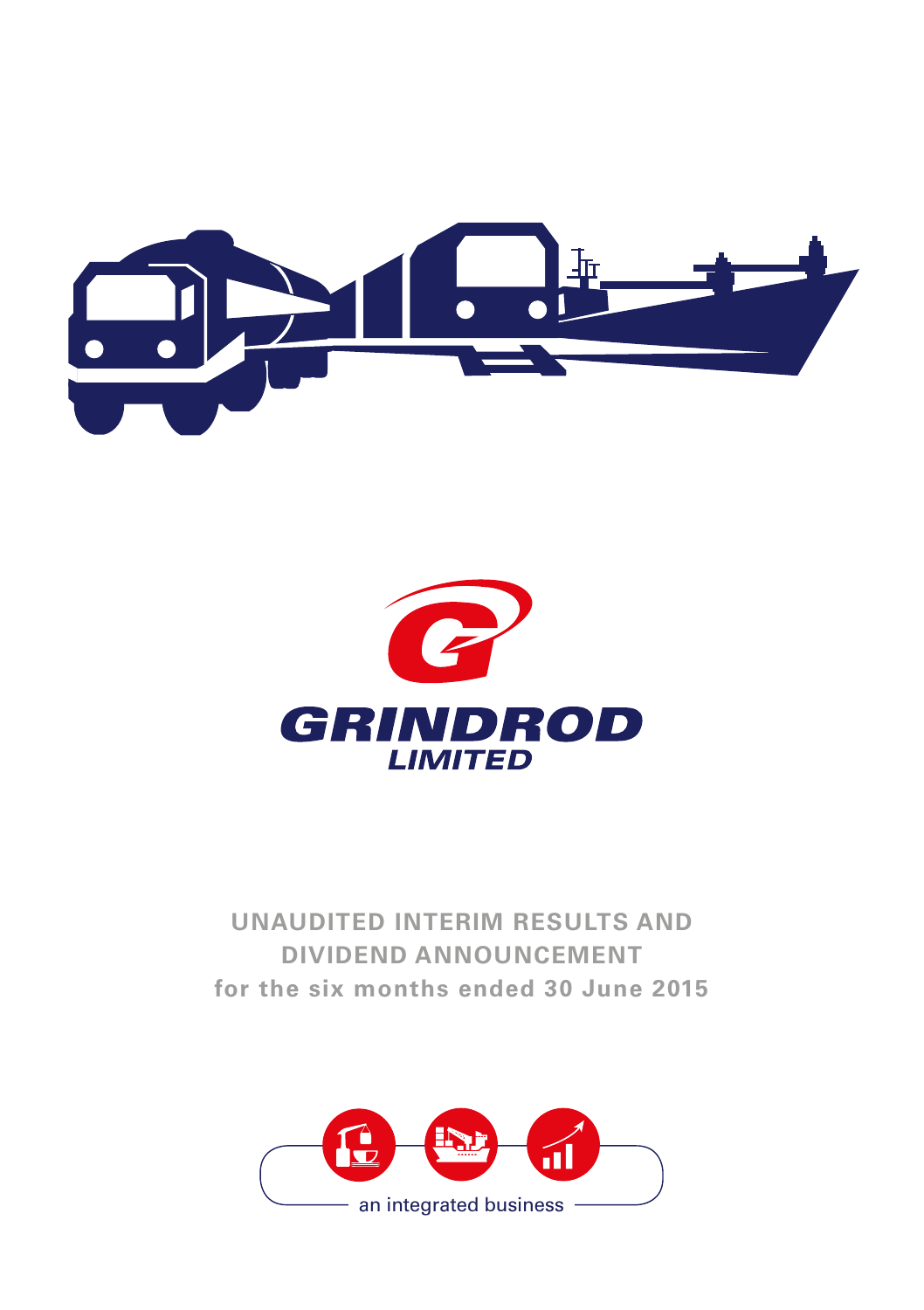



**UNAUDITED INTERIM RESULTS AND DIVIDEND ANNOUNCEMENT for the six months ended 30 June 2015**

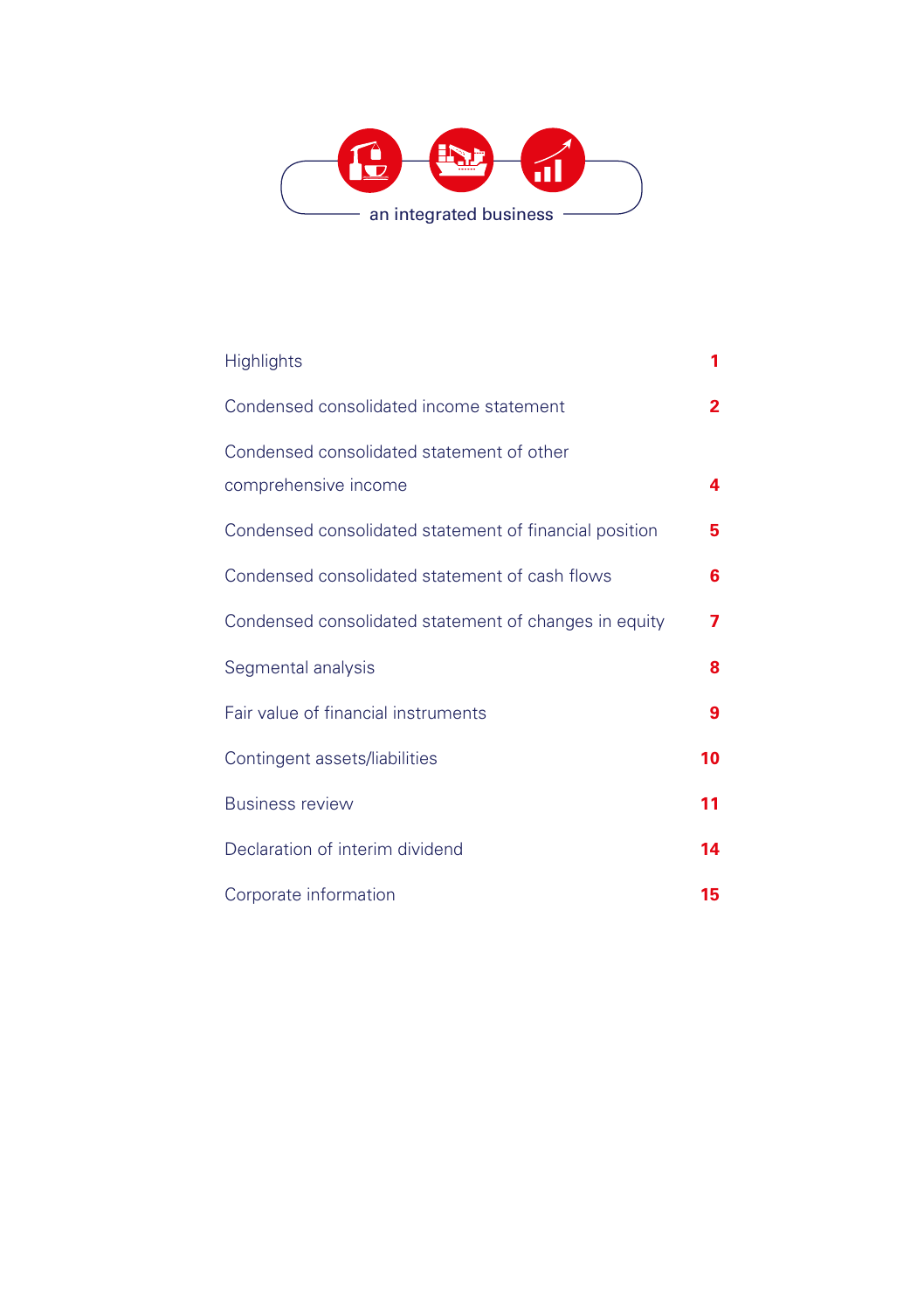

| <b>Highlights</b>                                                 | 1              |
|-------------------------------------------------------------------|----------------|
| Condensed consolidated income statement                           | $\overline{2}$ |
| Condensed consolidated statement of other<br>comprehensive income | 4              |
| Condensed consolidated statement of financial position            | 5              |
| Condensed consolidated statement of cash flows                    | 6              |
| Condensed consolidated statement of changes in equity             | 7              |
| Segmental analysis                                                | 8              |
| Fair value of financial instruments                               | 9              |
| Contingent assets/liabilities                                     | 10             |
| <b>Business review</b>                                            | 11             |
| Declaration of interim dividend                                   | 14             |
| Corporate information                                             | 15             |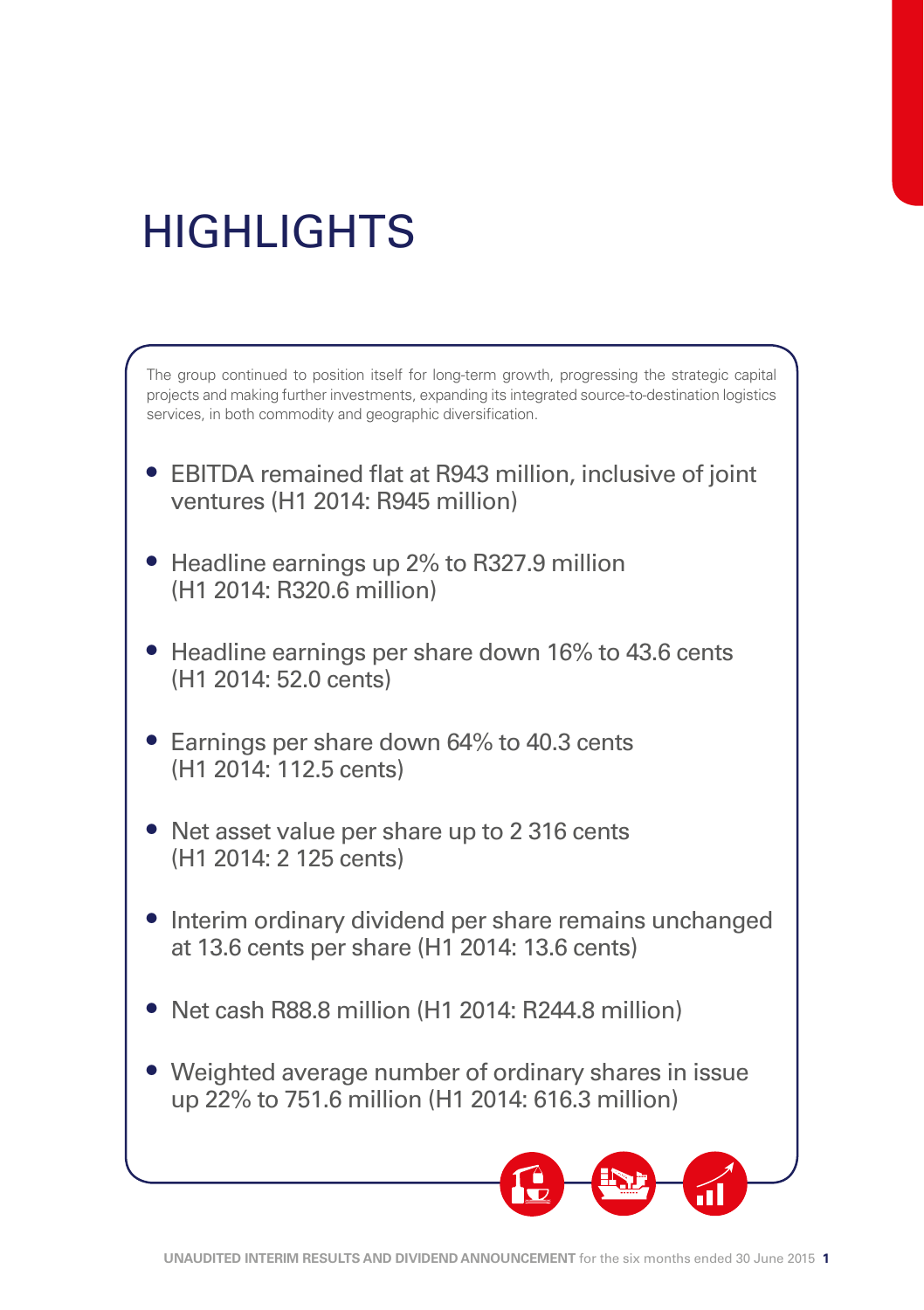# **HIGHLIGHTS**

The group continued to position itself for long-term growth, progressing the strategic capital projects and making further investments, expanding its integrated source-to-destination logistics services, in both commodity and geographic diversification.

- EBITDA remained flat at R943 million, inclusive of joint ventures (H1 2014: R945 million)
- Headline earnings up 2% to R327.9 million (H1 2014: R320.6 million)
- Headline earnings per share down 16% to 43.6 cents (H1 2014: 52.0 cents)
- Earnings per share down 64% to 40.3 cents (H1 2014: 112.5 cents)
- Net asset value per share up to 2 316 cents (H1 2014: 2 125 cents)
- Interim ordinary dividend per share remains unchanged at 13.6 cents per share (H1 2014: 13.6 cents)
- Net cash R88.8 million (H1 2014: R244.8 million)
- Weighted average number of ordinary shares in issue up 22% to 751.6 million (H1 2014: 616.3 million)

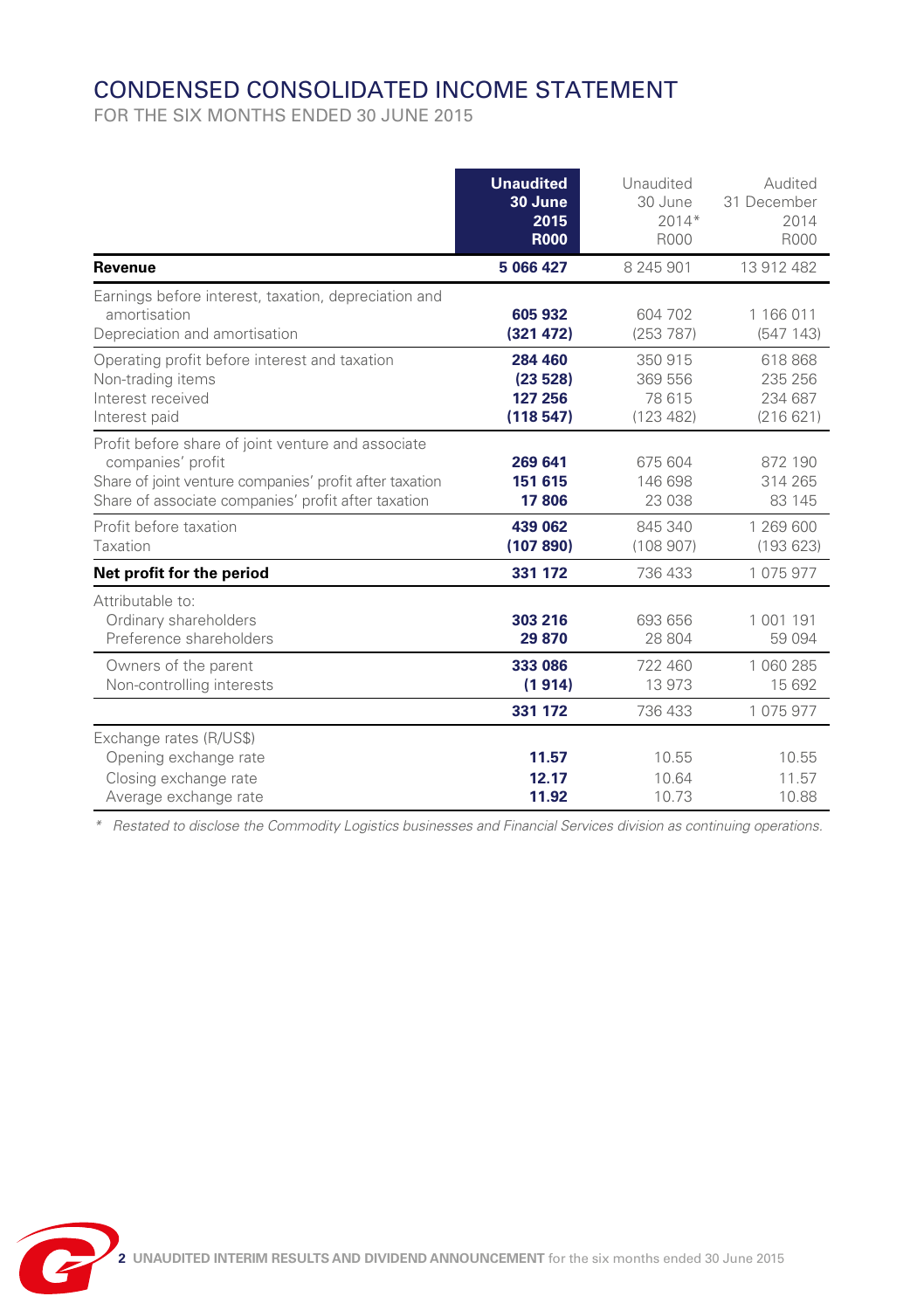# CONDENSED CONSOLIDATED INCOME STATEMENT

FOR THE SIX MONTHS ENDED 30 JUNE 2015

|                                                                                                                                                                                           | <b>Unaudited</b><br>30 June<br>2015<br><b>R000</b> | Unaudited<br>30 June<br>$2014*$<br>R000   | Audited<br>31 December<br>2014<br>R000    |
|-------------------------------------------------------------------------------------------------------------------------------------------------------------------------------------------|----------------------------------------------------|-------------------------------------------|-------------------------------------------|
| Revenue                                                                                                                                                                                   | 5 066 427                                          | 8 245 901                                 | 13 912 482                                |
| Earnings before interest, taxation, depreciation and<br>amortisation<br>Depreciation and amortisation                                                                                     | 605 932<br>(321 472)                               | 604 702<br>(253 787)                      | 1 166 011<br>(547143)                     |
| Operating profit before interest and taxation<br>Non-trading items<br>Interest received<br>Interest paid                                                                                  | 284 460<br>(23528)<br>127 256<br>(118547)          | 350 915<br>369 556<br>78 615<br>(123 482) | 618 868<br>235 256<br>234 687<br>(216621) |
| Profit before share of joint venture and associate<br>companies' profit<br>Share of joint venture companies' profit after taxation<br>Share of associate companies' profit after taxation | 269 641<br>151 615<br>17806                        | 675 604<br>146 698<br>23 038              | 872 190<br>314 265<br>83 145              |
| Profit before taxation<br>Taxation                                                                                                                                                        | 439 062<br>(107 890)                               | 845 340<br>(108907)                       | 1 269 600<br>(193623)                     |
| Net profit for the period                                                                                                                                                                 | 331 172                                            | 736 433                                   | 1075977                                   |
| Attributable to:<br>Ordinary shareholders<br>Preference shareholders                                                                                                                      | 303 216<br>29 870                                  | 693 656<br>28 804                         | 1 001 191<br>59 0 94                      |
| Owners of the parent<br>Non-controlling interests                                                                                                                                         | 333 086<br>(1914)                                  | 722 460<br>13 973                         | 1 060 285<br>15 692                       |
|                                                                                                                                                                                           | 331 172                                            | 736 433                                   | 1075977                                   |
| Exchange rates (R/US\$)<br>Opening exchange rate<br>Closing exchange rate<br>Average exchange rate                                                                                        | 11.57<br>12.17<br>11.92                            | 10.55<br>10.64<br>10.73                   | 10.55<br>11.57<br>10.88                   |

*\* Restated to disclose the Commodity Logistics businesses and Financial Services division as continuing operations.*

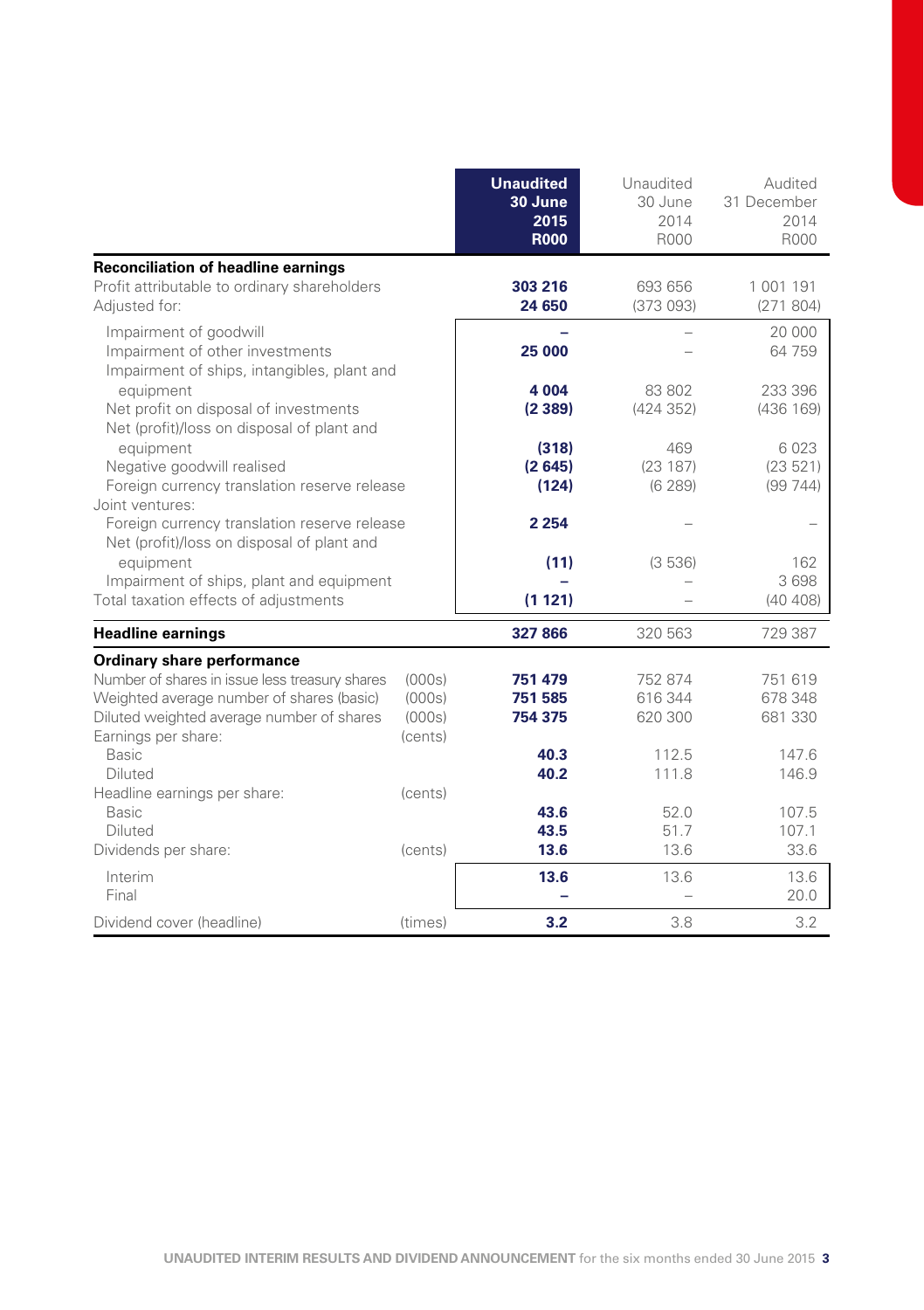|                                                                                                                                                                                                                                                                          |                                                  | <b>Unaudited</b><br>30 June<br>2015<br><b>R000</b>    | Unaudited<br>30 June<br>2014<br>R000                    | Audited<br>31 December<br>2014<br>R000                   |
|--------------------------------------------------------------------------------------------------------------------------------------------------------------------------------------------------------------------------------------------------------------------------|--------------------------------------------------|-------------------------------------------------------|---------------------------------------------------------|----------------------------------------------------------|
| <b>Reconciliation of headline earnings</b><br>Profit attributable to ordinary shareholders<br>Adjusted for:                                                                                                                                                              |                                                  | 303 216<br>24 650                                     | 693 656<br>(373093)                                     | 1 001 191<br>(271804)                                    |
| Impairment of goodwill<br>Impairment of other investments<br>Impairment of ships, intangibles, plant and                                                                                                                                                                 |                                                  | 25 000                                                |                                                         | 20 000<br>64 759                                         |
| equipment<br>Net profit on disposal of investments<br>Net (profit)/loss on disposal of plant and                                                                                                                                                                         |                                                  | 4 0 0 4<br>(2389)                                     | 83 802<br>(424 352)                                     | 233 396<br>(436 169)                                     |
| equipment<br>Negative goodwill realised<br>Foreign currency translation reserve release                                                                                                                                                                                  |                                                  | (318)<br>(2645)<br>(124)                              | 469<br>(23187)<br>(6289)                                | 6023<br>(23521)<br>(99744)                               |
| Joint ventures:<br>Foreign currency translation reserve release<br>Net (profit)/loss on disposal of plant and                                                                                                                                                            |                                                  | 2 2 5 4                                               |                                                         |                                                          |
| equipment<br>Impairment of ships, plant and equipment                                                                                                                                                                                                                    |                                                  | (11)                                                  | (3536)                                                  | 162<br>3698                                              |
| Total taxation effects of adjustments                                                                                                                                                                                                                                    |                                                  | (1 121)                                               |                                                         | (40 408)                                                 |
| <b>Headline earnings</b>                                                                                                                                                                                                                                                 |                                                  | 327 866                                               | 320 563                                                 | 729 387                                                  |
| <b>Ordinary share performance</b><br>Number of shares in issue less treasury shares<br>Weighted average number of shares (basic)<br>Diluted weighted average number of shares<br>Earnings per share:<br>Basic<br>Diluted<br>Headline earnings per share:<br><b>Basic</b> | (000s)<br>(000s)<br>(000s)<br>(cents)<br>(cents) | 751 479<br>751 585<br>754 375<br>40.3<br>40.2<br>43.6 | 752 874<br>616 344<br>620 300<br>112.5<br>111.8<br>52.0 | 751 619<br>678 348<br>681 330<br>147.6<br>146.9<br>107.5 |
| Diluted<br>Dividends per share:                                                                                                                                                                                                                                          | (cents)                                          | 43.5<br>13.6                                          | 51.7<br>13.6                                            | 107.1<br>33.6                                            |
| Interim<br>Final                                                                                                                                                                                                                                                         |                                                  | 13.6                                                  | 13.6                                                    | 13.6<br>20.0                                             |
| Dividend cover (headline)                                                                                                                                                                                                                                                | (times)                                          | 3.2                                                   | 3.8                                                     | 3.2                                                      |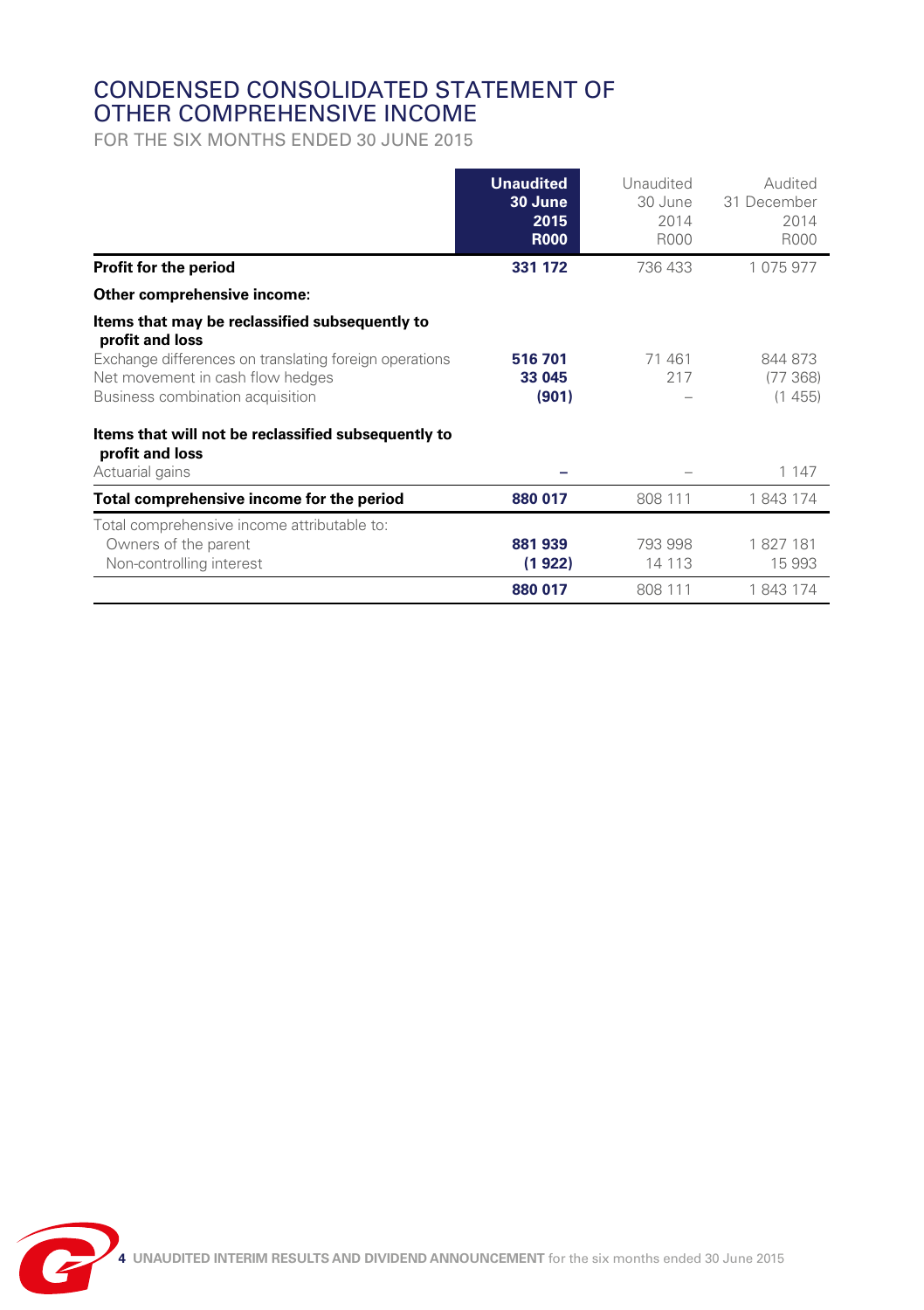### CONDENSED CONSOLIDATED STATEMENT OF OTHER COMPREHENSIVE INCOME

FOR THE SIX MONTHS ENDED 30 JUNE 2015

|                                                                                                                                                                                                     | <b>Unaudited</b><br>30 June<br>2015<br><b>R000</b> | Unaudited<br>30 June<br>2014<br>R000 | Audited<br>31 December<br>2014<br>R000 |
|-----------------------------------------------------------------------------------------------------------------------------------------------------------------------------------------------------|----------------------------------------------------|--------------------------------------|----------------------------------------|
| Profit for the period                                                                                                                                                                               | 331 172                                            | 736 433                              | 1 075 977                              |
| Other comprehensive income:                                                                                                                                                                         |                                                    |                                      |                                        |
| Items that may be reclassified subsequently to<br>profit and loss<br>Exchange differences on translating foreign operations<br>Net movement in cash flow hedges<br>Business combination acquisition | 516 701<br>33 045<br>(901)                         | 71 461<br>217                        | 844 873<br>(77368)<br>(1455)           |
| Items that will not be reclassified subsequently to<br>profit and loss<br>Actuarial gains                                                                                                           |                                                    |                                      | 1 1 4 7                                |
| Total comprehensive income for the period                                                                                                                                                           | 880 017                                            | 808 111                              | 1843174                                |
| Total comprehensive income attributable to:<br>Owners of the parent<br>Non-controlling interest                                                                                                     | 881939<br>(1 922)                                  | 793 998<br>14 113                    | 1827181<br>15993                       |
|                                                                                                                                                                                                     | 880 017                                            | 808 111                              | 1843174                                |

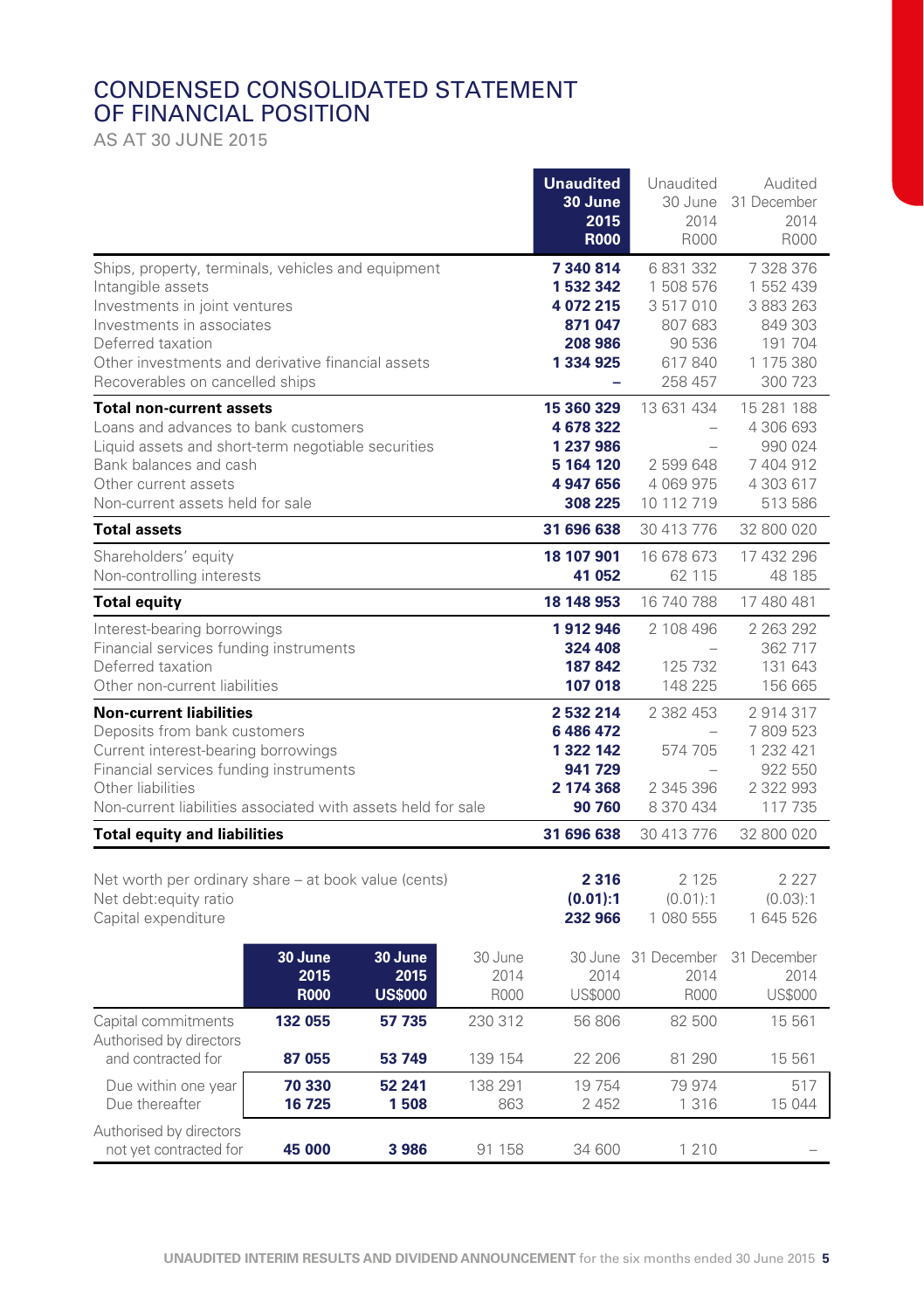### CONDENSED CONSOLIDATED STATEMENT OF FINANCIAL POSITION

AS AT 30 JUNE 2015

|                                                                                                                                                                                                                                                    |                                |                                   |                           | <b>Unaudited</b><br>30 June<br>2015<br><b>R000</b>                        | Unaudited<br>30 June<br>2014<br>R000                                      | Audited<br>31 December<br>2014<br>R000                                            |
|----------------------------------------------------------------------------------------------------------------------------------------------------------------------------------------------------------------------------------------------------|--------------------------------|-----------------------------------|---------------------------|---------------------------------------------------------------------------|---------------------------------------------------------------------------|-----------------------------------------------------------------------------------|
| Ships, property, terminals, vehicles and equipment<br>Intangible assets<br>Investments in joint ventures<br>Investments in associates<br>Deferred taxation<br>Other investments and derivative financial assets<br>Recoverables on cancelled ships |                                |                                   |                           | 7 340 814<br>1 532 342<br>4 072 215<br>871 047<br>208 986<br>1 334 925    | 6831332<br>1 508 576<br>3517010<br>807 683<br>90 536<br>617840<br>258 457 | 7 328 376<br>1 552 439<br>3 883 263<br>849 303<br>191 704<br>1 175 380<br>300 723 |
| <b>Total non-current assets</b><br>Loans and advances to bank customers<br>Liquid assets and short-term negotiable securities<br>Bank balances and cash<br>Other current assets<br>Non-current assets held for sale                                |                                |                                   |                           | 15 360 329<br>4 678 322<br>1 237 986<br>5 164 120<br>4 947 656<br>308 225 | 13 631 434<br>2 599 648<br>4 069 975<br>10 112 719                        | 15 281 188<br>4 306 693<br>990 024<br>7404912<br>4 303 617<br>513 586             |
| <b>Total assets</b>                                                                                                                                                                                                                                |                                |                                   |                           | 31 696 638                                                                | 30 413 776                                                                | 32 800 020                                                                        |
| Shareholders' equity<br>Non-controlling interests                                                                                                                                                                                                  |                                |                                   |                           | 18 107 901<br>41 052                                                      | 16 678 673<br>62 115                                                      | 17 432 296<br>48 185                                                              |
| <b>Total equity</b>                                                                                                                                                                                                                                |                                |                                   |                           | 18 148 953                                                                | 16 740 788                                                                | 17 480 481                                                                        |
| Interest-bearing borrowings<br>Financial services funding instruments<br>Deferred taxation<br>Other non-current liabilities                                                                                                                        |                                |                                   |                           | 1912946<br>324 408<br>187 842<br>107 018                                  | 2 108 496<br>$\sim$<br>125 732<br>148 225                                 | 2 2 6 3 2 9 2<br>362 717<br>131 643<br>156 665                                    |
| <b>Non-current liabilities</b><br>Deposits from bank customers<br>Current interest-bearing borrowings<br>Financial services funding instruments<br>Other liabilities<br>Non-current liabilities associated with assets held for sale               |                                |                                   |                           | 2 532 214<br>6 486 472<br>1 322 142<br>941 729<br>2 174 368<br>90 760     | 2 382 453<br>574 705<br>2 345 396<br>8 370 434                            | 2914317<br>7809523<br>1 232 421<br>922 550<br>2 322 993<br>117 735                |
| <b>Total equity and liabilities</b>                                                                                                                                                                                                                |                                |                                   |                           | 31 696 638                                                                | 30 413 776                                                                | 32 800 020                                                                        |
| Net worth per ordinary share – at book value (cents)<br>Net debt: equity ratio<br>Capital expenditure                                                                                                                                              |                                |                                   |                           | 2 3 1 6<br>(0.01):1<br>232 966                                            | 2 1 2 5<br>(0.01):1<br>1 080 555                                          | 2 2 2 7<br>(0.03):1<br>1 645 526                                                  |
|                                                                                                                                                                                                                                                    | 30 June<br>2015<br><b>R000</b> | 30 June<br>2015<br><b>US\$000</b> | 30 June<br>2014<br>R000   | 2014<br><b>US\$000</b>                                                    | 30 June 31 December<br>2014<br>R000                                       | 31 December<br>2014<br><b>US\$000</b>                                             |
| Capital commitments<br>Authorised by directors                                                                                                                                                                                                     | 132 055                        | 57 735                            | 230 312                   | 56 806                                                                    | 82 500                                                                    | 15 561                                                                            |
| and contracted for<br>Due within one year<br>Due thereafter                                                                                                                                                                                        | 87 055<br>70 330<br>16725      | 53 749<br>52 241<br>1508          | 139 154<br>138 291<br>863 | 22 206<br>19 754<br>2 4 5 2                                               | 81 290<br>79 974<br>1 3 1 6                                               | 15 561<br>517<br>15 044                                                           |
| Authorised by directors<br>not yet contracted for                                                                                                                                                                                                  | 45 000                         | 3986                              | 91 158                    | 34 600                                                                    | 1 2 1 0                                                                   |                                                                                   |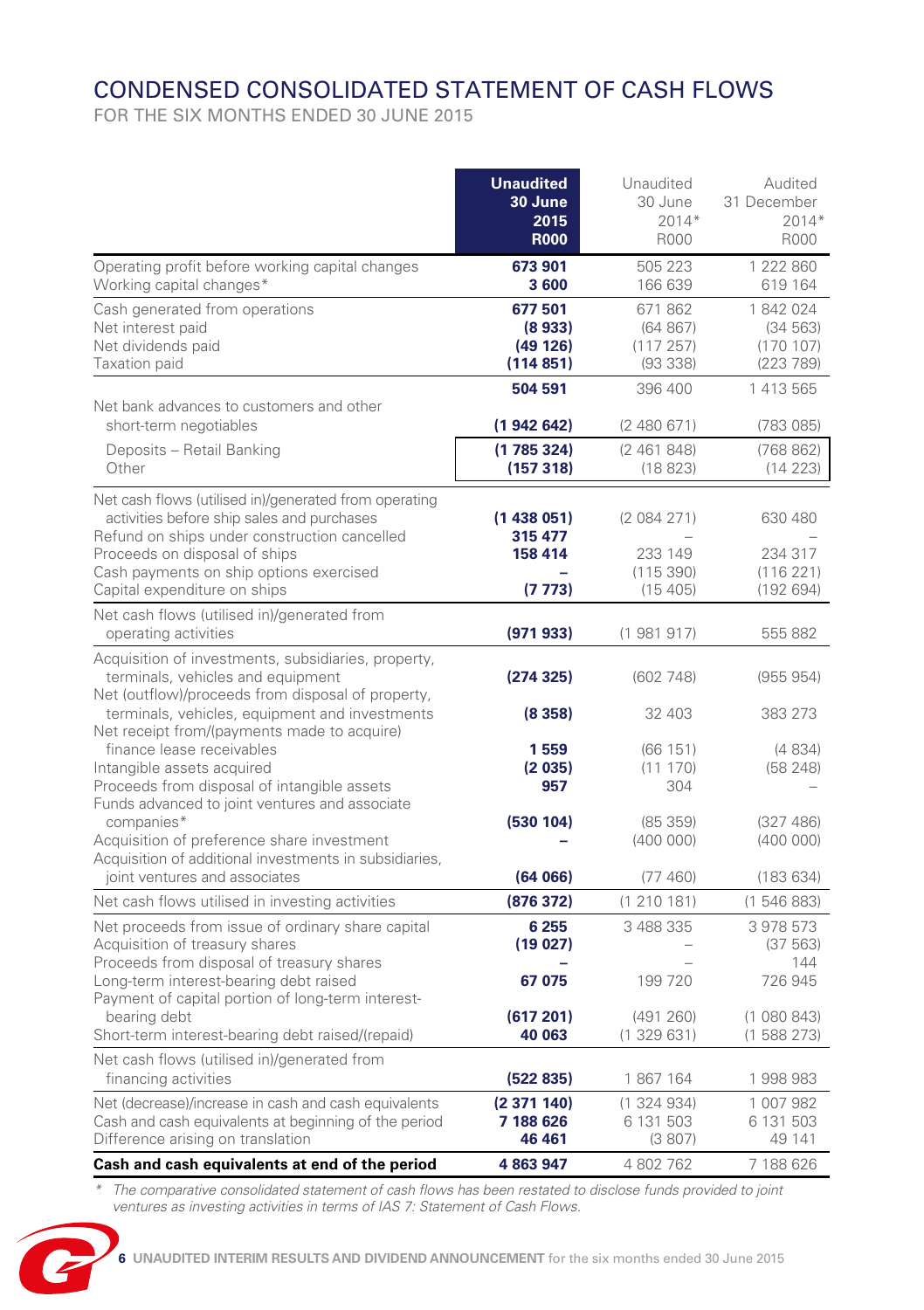# CONDENSED CONSOLIDATED STATEMENT OF CASH FLOWS

FOR THE SIX MONTHS ENDED 30 JUNE 2015

|                                                                                                              | <b>Unaudited</b>       | Unaudited              | Audited                |
|--------------------------------------------------------------------------------------------------------------|------------------------|------------------------|------------------------|
|                                                                                                              | 30 June<br>2015        | 30 June<br>$2014*$     | 31 December<br>$2014*$ |
|                                                                                                              | <b>R000</b>            | R000                   | R000                   |
| Operating profit before working capital changes                                                              | 673 901                | 505 223                | 1 222 860              |
| Working capital changes*                                                                                     | 3600                   | 166 639                | 619 164                |
| Cash generated from operations                                                                               | 677501                 | 671 862                | 1842024                |
| Net interest paid                                                                                            | (8933)                 | (64 867)               | (34 563)               |
| Net dividends paid<br>Taxation paid                                                                          | (49 126)<br>(114851)   | (117257)<br>(93338)    | (170107)<br>(223 789)  |
|                                                                                                              | 504 591                | 396 400                | 1 413 565              |
| Net bank advances to customers and other                                                                     |                        |                        |                        |
| short-term negotiables                                                                                       | (1942642)              | (2480671)              | (783085)               |
| Deposits - Retail Banking                                                                                    | (1785324)              | (2461848)              | (768 862)              |
| Other                                                                                                        | (157318)               | (18823)                | (14223)                |
| Net cash flows (utilised in)/generated from operating                                                        |                        |                        |                        |
| activities before ship sales and purchases                                                                   | (1438051)              | (2084271)              | 630 480                |
| Refund on ships under construction cancelled                                                                 | 315 477                |                        |                        |
| Proceeds on disposal of ships<br>Cash payments on ship options exercised                                     | 158 414                | 233 149<br>(115390)    | 234 317<br>(116221)    |
| Capital expenditure on ships                                                                                 | (7773)                 | (15405)                | (192694)               |
| Net cash flows (utilised in)/generated from                                                                  |                        |                        |                        |
| operating activities                                                                                         | (971933)               | (1981917)              | 555 882                |
| Acquisition of investments, subsidiaries, property,                                                          |                        |                        |                        |
| terminals, vehicles and equipment                                                                            | (274325)               | (602748)               | (955954)               |
| Net (outflow)/proceeds from disposal of property,                                                            |                        |                        |                        |
| terminals, vehicles, equipment and investments<br>Net receipt from/(payments made to acquire)                | (8358)                 | 32 403                 | 383 273                |
| finance lease receivables                                                                                    | 1559                   | (66151)                | (4834)                 |
| Intangible assets acquired                                                                                   | (2035)                 | (11170)                | (58248)                |
| Proceeds from disposal of intangible assets                                                                  | 957                    | 304                    |                        |
| Funds advanced to joint ventures and associate<br>companies*                                                 | (530 104)              | (85359)                | (327 486)              |
| Acquisition of preference share investment                                                                   |                        | (400000)               | (400000)               |
| Acquisition of additional investments in subsidiaries,                                                       |                        |                        |                        |
| joint ventures and associates                                                                                | (64066)                | (77460)                | (183634)               |
| Net cash flows utilised in investing activities                                                              | (876 372)              | (1 210 181)            | (1546883)              |
| Net proceeds from issue of ordinary share capital                                                            | 6 2 5 5                | 3 488 335              | 3 978 573              |
| Acquisition of treasury shares<br>Proceeds from disposal of treasury shares                                  | (19027)                |                        | (37 563)<br>144        |
| Long-term interest-bearing debt raised                                                                       | 67 075                 | 199 720                | 726 945                |
| Payment of capital portion of long-term interest-                                                            |                        |                        |                        |
| bearing debt                                                                                                 | (617201)               | (491 260)              | (1080843)              |
| Short-term interest-bearing debt raised/(repaid)                                                             | 40 063                 | (1329631)              | (1588273)              |
| Net cash flows (utilised in)/generated from                                                                  |                        |                        |                        |
| financing activities                                                                                         | (522 835)              | 1867164                | 1998983                |
| Net (decrease)/increase in cash and cash equivalents<br>Cash and cash equivalents at beginning of the period | (2371140)<br>7 188 626 | (1324934)<br>6 131 503 | 1 007 982<br>6 131 503 |
| Difference arising on translation                                                                            | 46 461                 | (3807)                 | 49 141                 |
| Cash and cash equivalents at end of the period                                                               | 4 863 947              | 4 802 762              | 7 188 626              |

*\* The comparative consolidated statement of cash flows has been restated to disclose funds provided to joint ventures as investing activities in terms of IAS 7: Statement of Cash Flows.*

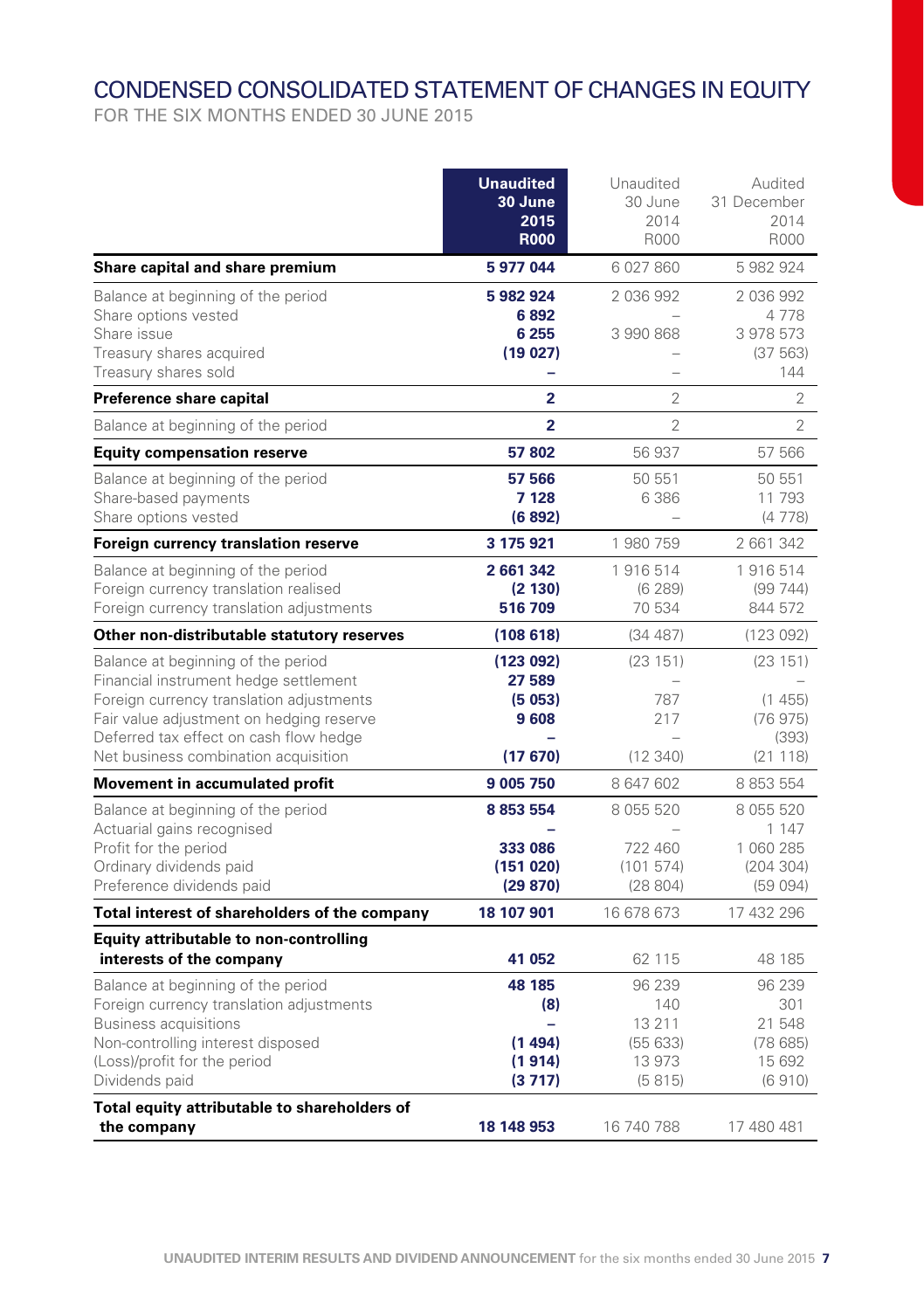# CONDENSED CONSOLIDATED STATEMENT OF CHANGES IN EQUITY

<u> 1990 - Johann Barbara, martxa</u>

FOR THE SIX MONTHS ENDED 30 JUNE 2015

|                                                                                                                                                                                                                                                       | <b>Unaudited</b><br><b>30 June</b><br>2015<br><b>R000</b> | Unaudited<br>30 June<br>2014<br><b>R000</b>            | Audited<br>31 December<br>2014<br><b>R000</b>            |
|-------------------------------------------------------------------------------------------------------------------------------------------------------------------------------------------------------------------------------------------------------|-----------------------------------------------------------|--------------------------------------------------------|----------------------------------------------------------|
| Share capital and share premium                                                                                                                                                                                                                       | 5 977 044                                                 | 6027860                                                | 5 982 924                                                |
| Balance at beginning of the period<br>Share options vested<br>Share issue<br>Treasury shares acquired<br>Treasury shares sold                                                                                                                         | 5 982 924<br>6892<br>6 2 5 5<br>(19027)<br>-              | 2036992<br>3990868<br>$\overline{\phantom{0}}$         | 2 036 992<br>4778<br>3 978 573<br>(37 563)<br>144        |
| Preference share capital                                                                                                                                                                                                                              | $\overline{2}$                                            | $\overline{2}$                                         | $\overline{2}$                                           |
| Balance at beginning of the period                                                                                                                                                                                                                    | $\overline{2}$                                            | $\overline{2}$                                         | $\overline{2}$                                           |
| <b>Equity compensation reserve</b>                                                                                                                                                                                                                    | 57802                                                     | 56 937                                                 | 57 566                                                   |
| Balance at beginning of the period<br>Share-based payments<br>Share options vested                                                                                                                                                                    | 57 566<br>7 1 28<br>(6892)                                | 50 551<br>6 3 8 6                                      | 50 551<br>11 793<br>(4778)                               |
| Foreign currency translation reserve                                                                                                                                                                                                                  | 3 175 921                                                 | 1980759                                                | 2 661 342                                                |
| Balance at beginning of the period<br>Foreign currency translation realised<br>Foreign currency translation adjustments                                                                                                                               | 2 661 342<br>(2 130)<br>516709                            | 1916514<br>(6289)<br>70 534                            | 1916514<br>(99744)<br>844 572                            |
| Other non-distributable statutory reserves                                                                                                                                                                                                            | (108618)                                                  | (34487)                                                | (123092)                                                 |
| Balance at beginning of the period<br>Financial instrument hedge settlement<br>Foreign currency translation adjustments<br>Fair value adjustment on hedging reserve<br>Deferred tax effect on cash flow hedge<br>Net business combination acquisition | (123092)<br>27 589<br>(5053)<br>9608<br>(17670)           | (23151)<br>787<br>217<br>(12340)                       | (23151)<br>(1455)<br>(76975)<br>(393)<br>(21118)         |
| Movement in accumulated profit                                                                                                                                                                                                                        | 9 005 750                                                 | 8 647 602                                              | 8 8 5 5 5 4                                              |
| Balance at beginning of the period<br>Actuarial gains recognised<br>Profit for the period<br>Ordinary dividends paid<br>Preference dividends paid                                                                                                     | 8 8 5 3 5 5 4<br>333 086<br>(151020)<br>(29 870)          | 8 0 5 5 5 2 0<br>722 460<br>(101574)<br>(28804)        | 8 055 520<br>1 1 4 7<br>1 060 285<br>(204304)<br>(59094) |
| Total interest of shareholders of the company                                                                                                                                                                                                         | 18 107 901                                                | 16 678 673                                             | 17 432 296                                               |
| Equity attributable to non-controlling<br>interests of the company                                                                                                                                                                                    | 41 052                                                    | 62 115                                                 | 48 185                                                   |
| Balance at beginning of the period<br>Foreign currency translation adjustments<br><b>Business acquisitions</b><br>Non-controlling interest disposed<br>(Loss)/profit for the period<br>Dividends paid                                                 | 48 185<br>(8)<br>-<br>(1494)<br>(1914)<br>(3717)          | 96 239<br>140<br>13 2 11<br>(55633)<br>13973<br>(5815) | 96 239<br>301<br>21 548<br>(78685)<br>15 692<br>(6910)   |
| Total equity attributable to shareholders of<br>the company                                                                                                                                                                                           | 18 148 953                                                | 16 740 788                                             | 17 480 481                                               |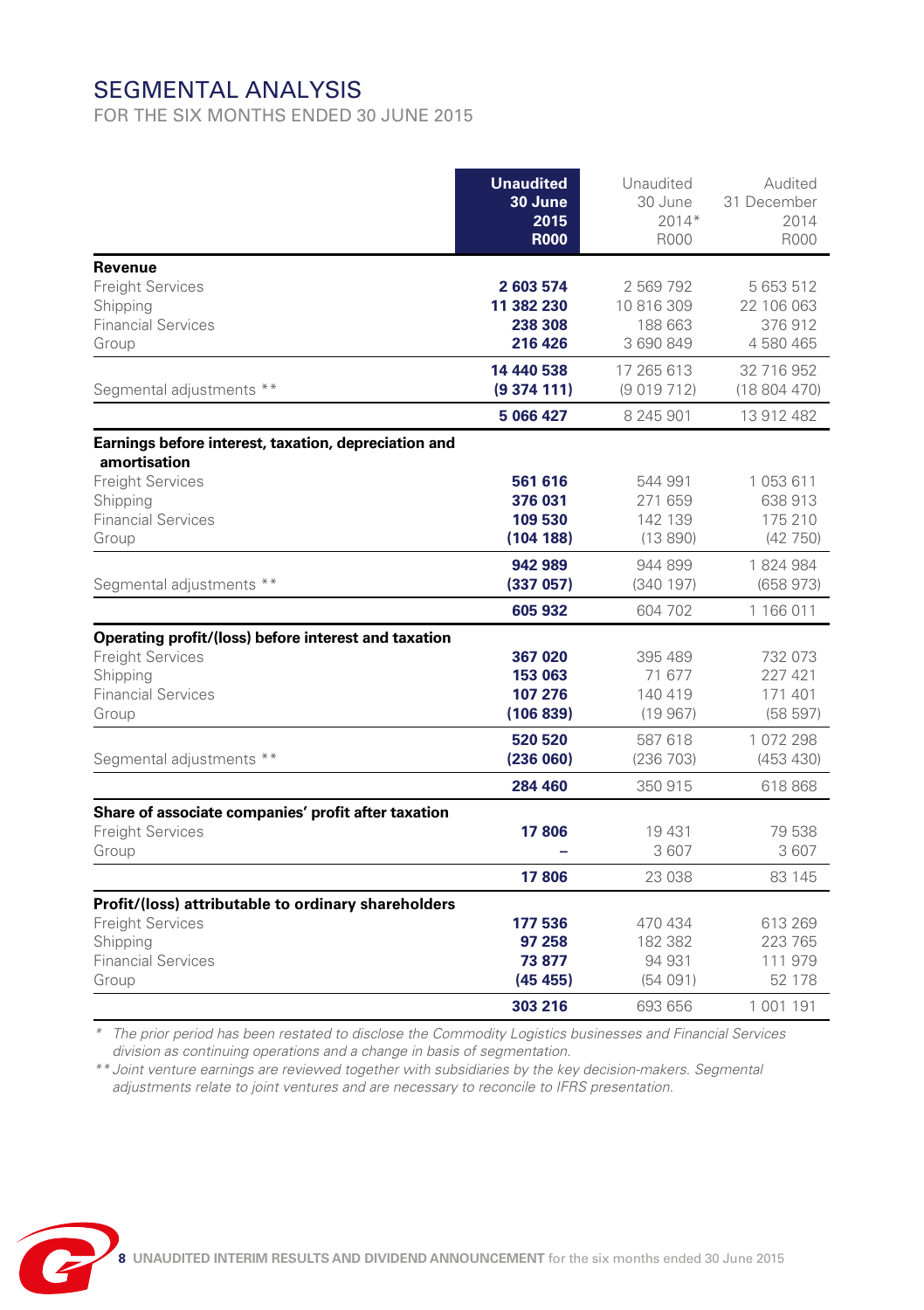# SEGMENTAL ANALYSIS

FOR THE SIX MONTHS ENDED 30 JUNE 2015

|                                                                                                                                                   | <b>Unaudited</b><br>30 June<br>2015<br><b>R000</b> | Unaudited<br>30 June<br>$2014*$<br>R000         | Audited<br>31 December<br>2014<br>R000       |
|---------------------------------------------------------------------------------------------------------------------------------------------------|----------------------------------------------------|-------------------------------------------------|----------------------------------------------|
| Revenue<br><b>Freight Services</b><br>Shipping<br><b>Financial Services</b><br>Group                                                              | 2 603 574<br>11 382 230<br>238 308<br>216 426      | 2 569 792<br>10 816 309<br>188 663<br>3 690 849 | 5 653 512<br>22 106 063<br>376912<br>4580465 |
| Segmental adjustments **                                                                                                                          | 14 440 538<br>(9374111)<br>5 066 427               | 17 265 613<br>(9019712)<br>8 245 901            | 32 716 952<br>(18804470)<br>13 912 482       |
| Earnings before interest, taxation, depreciation and<br>amortisation<br><b>Freight Services</b><br>Shipping<br><b>Financial Services</b><br>Group | 561 616<br>376 031<br>109 530<br>(104188)          | 544 991<br>271 659<br>142 139<br>(13890)        | 1053611<br>638 913<br>175 210<br>(42750)     |
| Segmental adjustments **                                                                                                                          | 942 989<br>(337057)<br>605 932                     | 944 899<br>(340197)<br>604 702                  | 1824984<br>(658973)<br>1 166 011             |
| Operating profit/(loss) before interest and taxation<br><b>Freight Services</b><br>Shipping<br><b>Financial Services</b><br>Group                 | 367 020<br>153 063<br>107 276<br>(106 839)         | 395 489<br>71 677<br>140 419<br>(19967)         | 732 073<br>227 421<br>171 401<br>(58597)     |
| Segmental adjustments **                                                                                                                          | 520 520<br>(236 060)<br>284 460                    | 587 618<br>(236 703)<br>350 915                 | 1072298<br>(453 430)<br>618868               |
| Share of associate companies' profit after taxation<br><b>Freight Services</b><br>Group                                                           | 17806<br>17806                                     | 19 431<br>3 607<br>23 038                       | 79 538<br>3607<br>83 145                     |
| Profit/(loss) attributable to ordinary shareholders<br><b>Freight Services</b><br>Shipping<br><b>Financial Services</b><br>Group                  | 177 536<br>97 258<br>73 877<br>(45 455)            | 470 434<br>182 382<br>94 931<br>(54091)         | 613 269<br>223 765<br>111 979<br>52 178      |
|                                                                                                                                                   | 303 216                                            | 693 656                                         | 1 001 191                                    |

*\* The prior period has been restated to disclose the Commodity Logistics businesses and Financial Services division as continuing operations and a change in basis of segmentation.*

*\*\* Joint venture earnings are reviewed together with subsidiaries by the key decision-makers. Segmental adjustments relate to joint ventures and are necessary to reconcile to IFRS presentation.* 

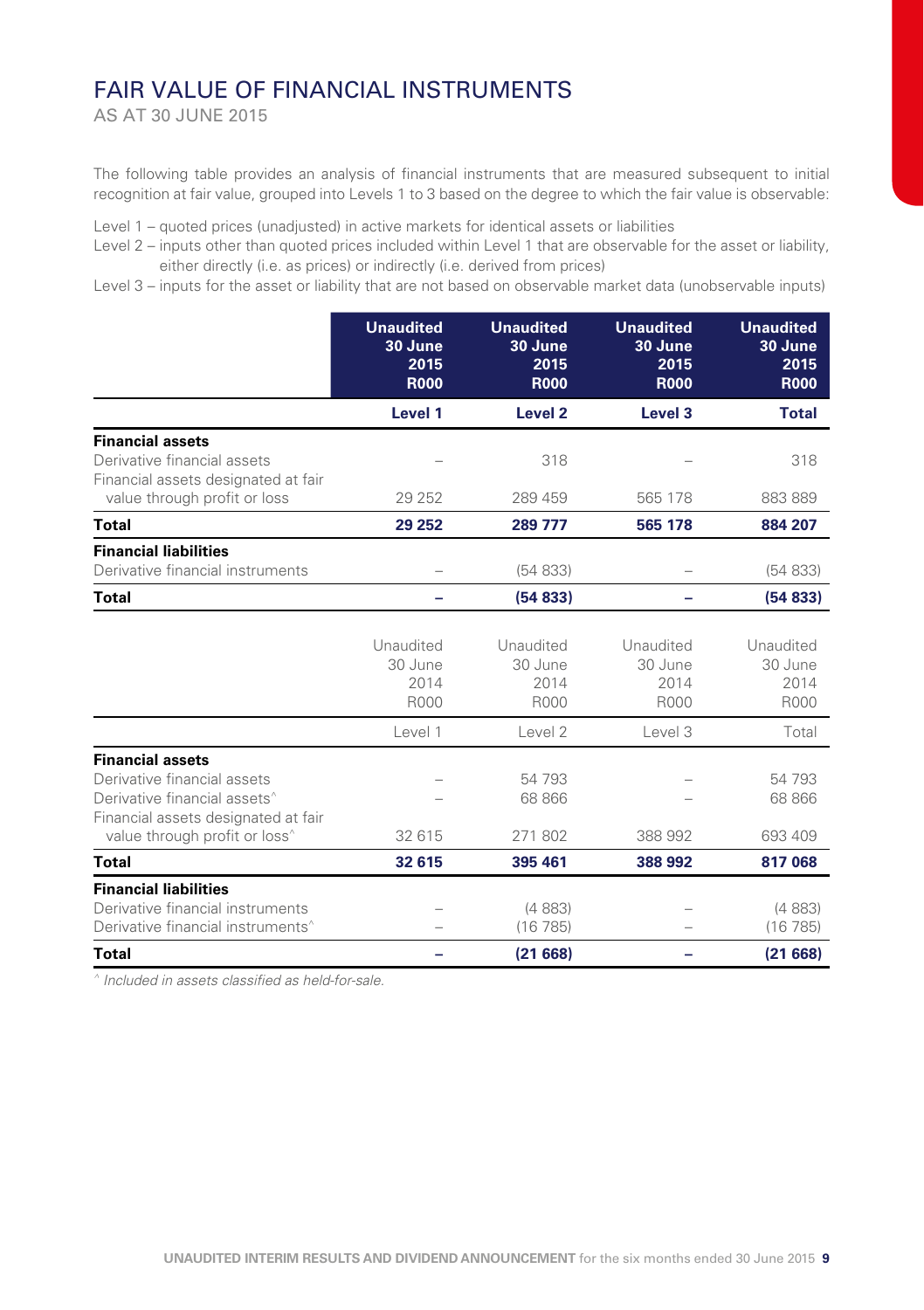### FAIR VALUE OF FINANCIAL INSTRUMENTS

AS AT 30 JUNE 2015

The following table provides an analysis of financial instruments that are measured subsequent to initial recognition at fair value, grouped into Levels 1 to 3 based on the degree to which the fair value is observable:

Level 1 – quoted prices (unadjusted) in active markets for identical assets or liabilities

Level 2 – inputs other than quoted prices included within Level 1 that are observable for the asset or liability, either directly (i.e. as prices) or indirectly (i.e. derived from prices)

Level 3 – inputs for the asset or liability that are not based on observable market data (unobservable inputs)

|                                                                                                                                                                                        | <b>Unaudited</b><br>30 June<br>2015<br><b>R000</b> | <b>Unaudited</b><br>30 June<br>2015<br><b>R000</b> | <b>Unaudited</b><br>30 June<br>2015<br><b>R000</b> | <b>Unaudited</b><br>30 June<br>2015<br><b>R000</b> |
|----------------------------------------------------------------------------------------------------------------------------------------------------------------------------------------|----------------------------------------------------|----------------------------------------------------|----------------------------------------------------|----------------------------------------------------|
|                                                                                                                                                                                        | Level 1                                            | Level <sub>2</sub>                                 | Level 3                                            | <b>Total</b>                                       |
| <b>Financial assets</b><br>Derivative financial assets<br>Financial assets designated at fair                                                                                          |                                                    | 318                                                |                                                    | 318                                                |
| value through profit or loss                                                                                                                                                           | 29 25 2                                            | 289 459                                            | 565 178                                            | 883 889                                            |
| Total                                                                                                                                                                                  | 29 25 2                                            | 289 777                                            | 565 178                                            | 884 207                                            |
| <b>Financial liabilities</b><br>Derivative financial instruments                                                                                                                       |                                                    | (54833)                                            |                                                    | (54833)                                            |
| Total                                                                                                                                                                                  |                                                    | (54833)                                            |                                                    | (54833)                                            |
|                                                                                                                                                                                        |                                                    |                                                    |                                                    |                                                    |
|                                                                                                                                                                                        | Unaudited<br>30 June<br>2014<br>R000               | Unaudited<br>30 June<br>2014<br><b>R000</b>        | Unaudited<br>30 June<br>2014<br>R000               | Unaudited<br>30 June<br>2014<br>R000               |
|                                                                                                                                                                                        | Level 1                                            | Level 2                                            | Level 3                                            | Total                                              |
| <b>Financial assets</b><br>Derivative financial assets<br>Derivative financial assets <sup>^</sup><br>Financial assets designated at fair<br>value through profit or loss <sup>^</sup> | 32 615                                             | 54 793<br>68 866<br>271 802                        | 388 992                                            | 54 793<br>68 866<br>693 409                        |
| <b>Total</b>                                                                                                                                                                           | 32 615                                             | 395 461                                            | 388 992                                            | 817068                                             |
| <b>Financial liabilities</b><br>Derivative financial instruments<br>Derivative financial instruments <sup>^</sup>                                                                      |                                                    | (4883)<br>(16785)                                  |                                                    | (4883)<br>(16785)                                  |
| <b>Total</b>                                                                                                                                                                           |                                                    | (21668)                                            |                                                    | (21668)                                            |

*^ Included in assets classified as held-for-sale.*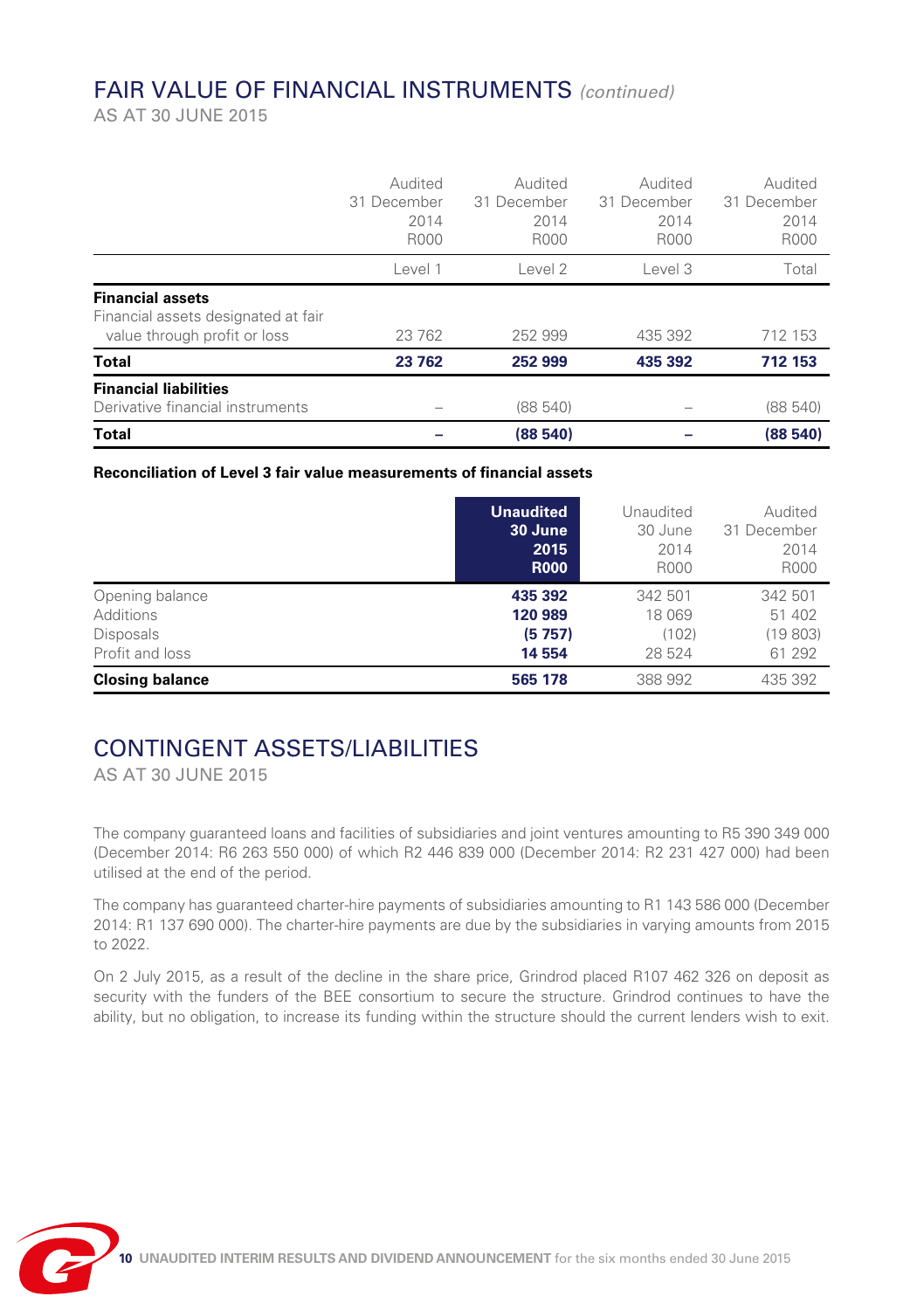# FAIR VALUE OF FINANCIAL INSTRUMENTS *(continued)*

AS AT 30 JUNE 2015

|                                                                                                | Audited<br>31 December<br>2014<br>R000 | Audited<br>31 December<br>2014<br>R000 | Audited<br>31 December<br>2014<br>R000 | Audited<br>31 December<br>2014<br>R000 |
|------------------------------------------------------------------------------------------------|----------------------------------------|----------------------------------------|----------------------------------------|----------------------------------------|
|                                                                                                | Level 1                                | Level 2                                | Level 3                                | Total                                  |
| <b>Financial assets</b><br>Financial assets designated at fair<br>value through profit or loss | 23 762                                 | 252 999                                | 435 392                                | 712 153                                |
| Total                                                                                          | 23 762                                 | 252 999                                | 435 392                                | 712 153                                |
| <b>Financial liabilities</b><br>Derivative financial instruments                               |                                        | (88540)                                |                                        | (88540)                                |
| <b>Total</b>                                                                                   |                                        | (88540)                                |                                        | (88540)                                |

#### **Reconciliation of Level 3 fair value measurements of financial assets**

|                        | <b>Unaudited</b> | Unaudited | Audited     |
|------------------------|------------------|-----------|-------------|
|                        | 30 June          | 30 June   | 31 December |
|                        | 2015             | 2014      | 2014        |
|                        | <b>R000</b>      | R000      | R000        |
| Opening balance        | 435 392          | 342 501   | 342 501     |
| Additions              | 120 989          | 18 069    | 51 402      |
| <b>Disposals</b>       | (5757)           | (102)     | (19803)     |
| Profit and loss        | 14 554           | 28 524    | 61 292      |
| <b>Closing balance</b> | 565 178          | 388 992   | 435 392     |

### CONTINGENT ASSETS/LIABILITIES

AS AT 30 JUNE 2015

The company guaranteed loans and facilities of subsidiaries and joint ventures amounting to R5 390 349 000 (December 2014: R6 263 550 000) of which R2 446 839 000 (December 2014: R2 231 427 000) had been utilised at the end of the period.

The company has guaranteed charter-hire payments of subsidiaries amounting to R1 143 586 000 (December 2014: R1 137 690 000). The charter-hire payments are due by the subsidiaries in varying amounts from 2015 to 2022.

On 2 July 2015, as a result of the decline in the share price, Grindrod placed R107 462 326 on deposit as security with the funders of the BEE consortium to secure the structure. Grindrod continues to have the ability, but no obligation, to increase its funding within the structure should the current lenders wish to exit.

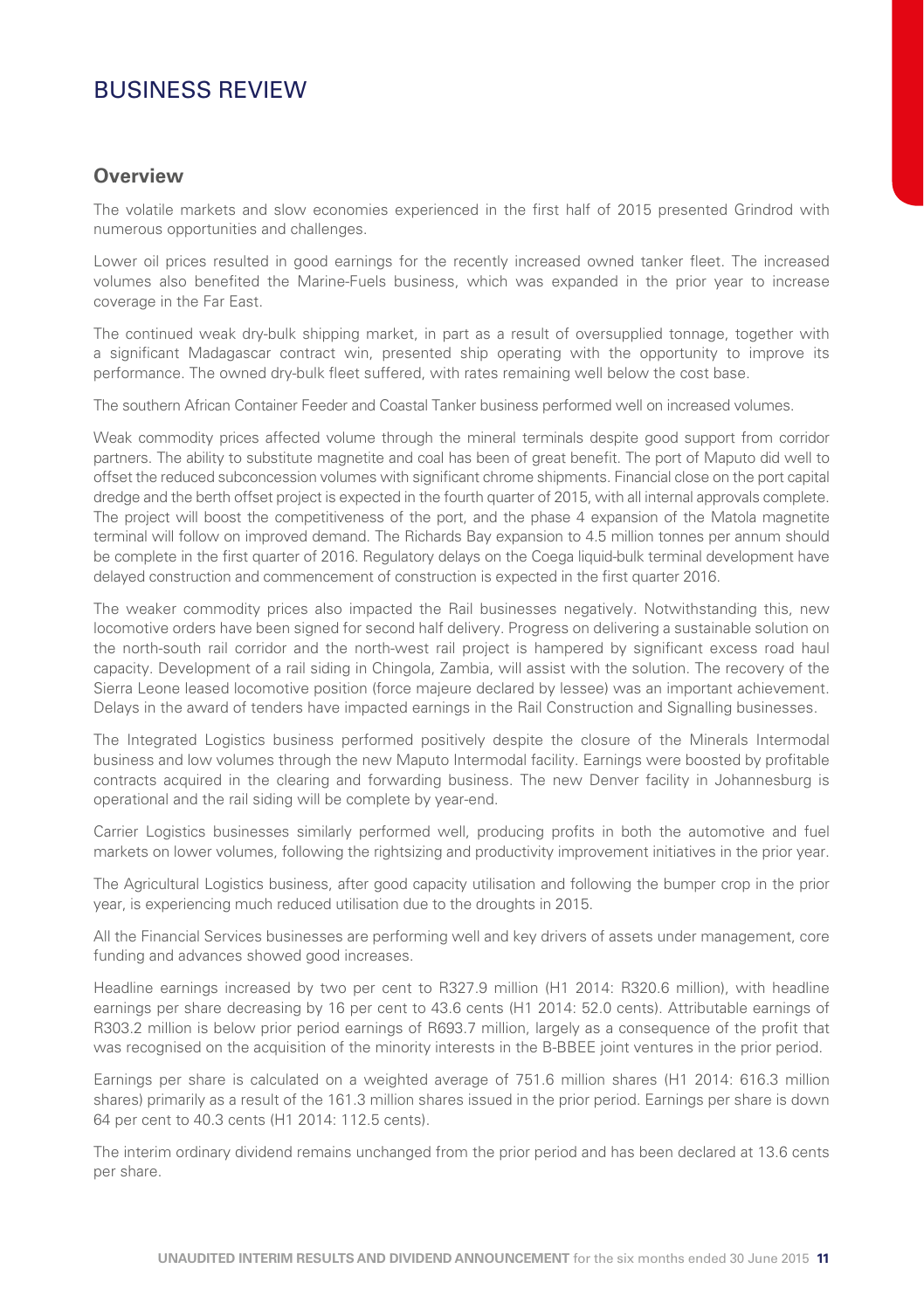### BUSINESS REVIEW

#### **Overview**

The volatile markets and slow economies experienced in the first half of 2015 presented Grindrod with numerous opportunities and challenges.

Lower oil prices resulted in good earnings for the recently increased owned tanker fleet. The increased volumes also benefited the Marine-Fuels business, which was expanded in the prior year to increase coverage in the Far East.

The continued weak dry-bulk shipping market, in part as a result of oversupplied tonnage, together with a significant Madagascar contract win, presented ship operating with the opportunity to improve its performance. The owned dry-bulk fleet suffered, with rates remaining well below the cost base.

The southern African Container Feeder and Coastal Tanker business performed well on increased volumes.

Weak commodity prices affected volume through the mineral terminals despite good support from corridor partners. The ability to substitute magnetite and coal has been of great benefit. The port of Maputo did well to offset the reduced subconcession volumes with significant chrome shipments. Financial close on the port capital dredge and the berth offset project is expected in the fourth quarter of 2015, with all internal approvals complete. The project will boost the competitiveness of the port, and the phase 4 expansion of the Matola magnetite terminal will follow on improved demand. The Richards Bay expansion to 4.5 million tonnes per annum should be complete in the first quarter of 2016. Regulatory delays on the Coega liquid-bulk terminal development have delayed construction and commencement of construction is expected in the first quarter 2016.

The weaker commodity prices also impacted the Rail businesses negatively. Notwithstanding this, new locomotive orders have been signed for second half delivery. Progress on delivering a sustainable solution on the north-south rail corridor and the north-west rail project is hampered by significant excess road haul capacity. Development of a rail siding in Chingola, Zambia, will assist with the solution. The recovery of the Sierra Leone leased locomotive position (force majeure declared by lessee) was an important achievement. Delays in the award of tenders have impacted earnings in the Rail Construction and Signalling businesses.

The Integrated Logistics business performed positively despite the closure of the Minerals Intermodal business and low volumes through the new Maputo Intermodal facility. Earnings were boosted by profitable contracts acquired in the clearing and forwarding business. The new Denver facility in Johannesburg is operational and the rail siding will be complete by year-end.

Carrier Logistics businesses similarly performed well, producing profits in both the automotive and fuel markets on lower volumes, following the rightsizing and productivity improvement initiatives in the prior year.

The Agricultural Logistics business, after good capacity utilisation and following the bumper crop in the prior year, is experiencing much reduced utilisation due to the droughts in 2015.

All the Financial Services businesses are performing well and key drivers of assets under management, core funding and advances showed good increases.

Headline earnings increased by two per cent to R327.9 million (H1 2014: R320.6 million), with headline earnings per share decreasing by 16 per cent to 43.6 cents (H1 2014: 52.0 cents). Attributable earnings of R303.2 million is below prior period earnings of R693.7 million, largely as a consequence of the profit that was recognised on the acquisition of the minority interests in the B-BBEE joint ventures in the prior period.

Earnings per share is calculated on a weighted average of 751.6 million shares (H1 2014: 616.3 million shares) primarily as a result of the 161.3 million shares issued in the prior period. Earnings per share is down 64 per cent to 40.3 cents (H1 2014: 112.5 cents).

The interim ordinary dividend remains unchanged from the prior period and has been declared at 13.6 cents per share.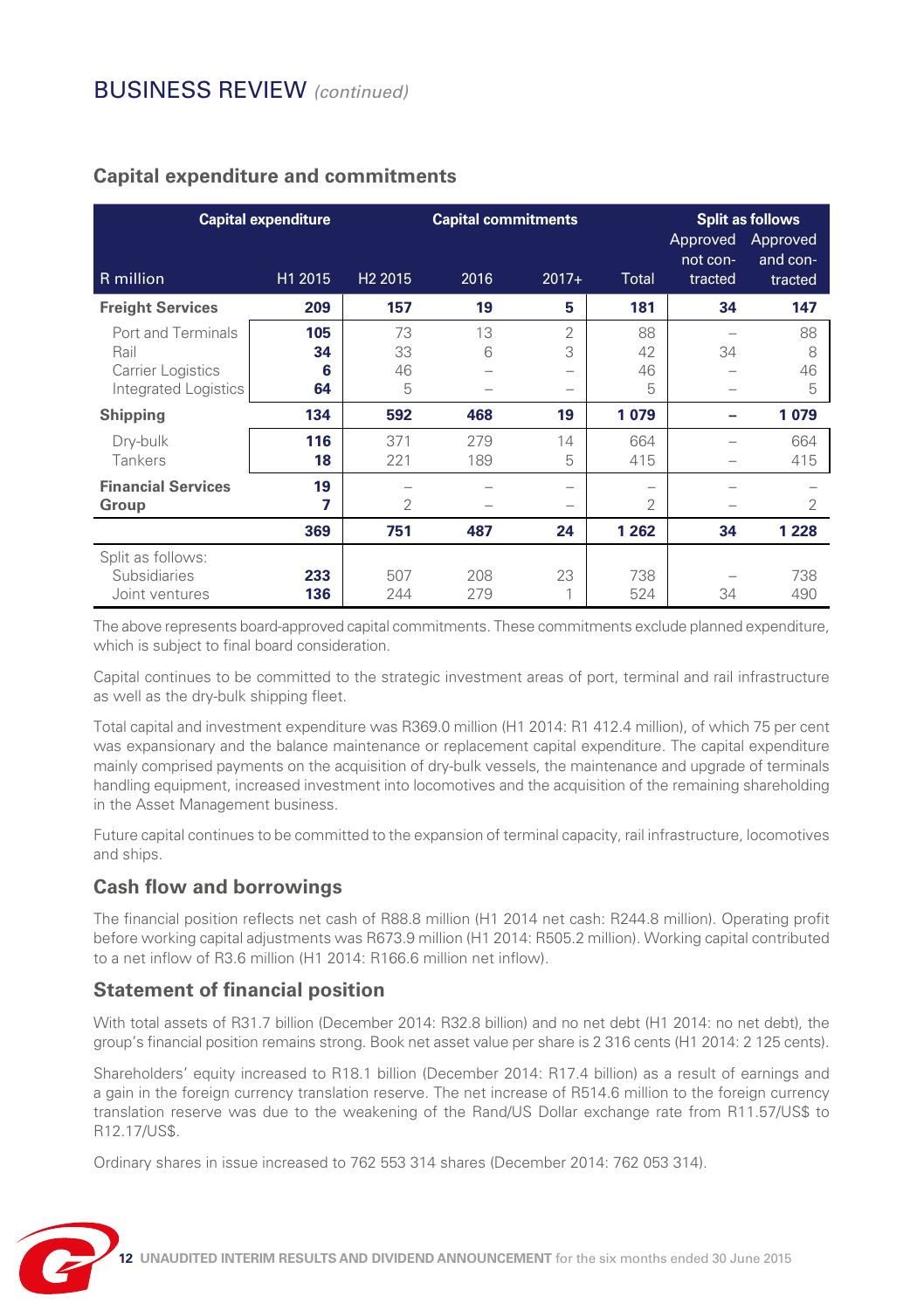|                                                                                | <b>Capital expenditure</b> |                     | <b>Capital commitments</b> |                               |                     | Approved<br>not con- | <b>Split as follows</b><br>Approved<br>and con- |
|--------------------------------------------------------------------------------|----------------------------|---------------------|----------------------------|-------------------------------|---------------------|----------------------|-------------------------------------------------|
| $R$ million                                                                    | H1 2015                    | H <sub>2</sub> 2015 | 2016                       | $2017+$                       | <b>Total</b>        | tracted              | tracted                                         |
| <b>Freight Services</b>                                                        | 209                        | 157                 | 19                         | 5                             | 181                 | 34                   | 147                                             |
| Port and Terminals<br>Rail<br><b>Carrier Logistics</b><br>Integrated Logistics | 105<br>34<br>6<br>64       | 73<br>33<br>46<br>5 | 13<br>6                    | $\overline{2}$<br>3<br>-<br>- | 88<br>42<br>46<br>5 | 34                   | 88<br>8<br>46<br>5                              |
| Shipping                                                                       | 134                        | 592                 | 468                        | 19                            | 1079                |                      | 1079                                            |
| Dry-bulk<br>Tankers                                                            | 116<br>18                  | 371<br>221          | 279<br>189                 | 14<br>5                       | 664<br>415          |                      | 664<br>415                                      |
| <b>Financial Services</b><br>Group                                             | 19<br>7                    | 2                   |                            | -<br>-                        | -<br>2              |                      | 2                                               |
|                                                                                | 369                        | 751                 | 487                        | 24                            | 1 2 6 2             | 34                   | 1 2 2 8                                         |
| Split as follows:<br>Subsidiaries<br>Joint ventures                            | 233<br>136                 | 507<br>244          | 208<br>279                 | 23<br>1                       | 738<br>524          | 34                   | 738<br>490                                      |

### **Capital expenditure and commitments**

The above represents board-approved capital commitments. These commitments exclude planned expenditure, which is subject to final board consideration.

Capital continues to be committed to the strategic investment areas of port, terminal and rail infrastructure as well as the dry-bulk shipping fleet.

Total capital and investment expenditure was R369.0 million (H1 2014: R1 412.4 million), of which 75 per cent was expansionary and the balance maintenance or replacement capital expenditure. The capital expenditure mainly comprised payments on the acquisition of dry-bulk vessels, the maintenance and upgrade of terminals handling equipment, increased investment into locomotives and the acquisition of the remaining shareholding in the Asset Management business.

Future capital continues to be committed to the expansion of terminal capacity, rail infrastructure, locomotives and ships.

### **Cash flow and borrowings**

The financial position reflects net cash of R88.8 million (H1 2014 net cash: R244.8 million). Operating profit before working capital adjustments was R673.9 million (H1 2014: R505.2 million). Working capital contributed to a net inflow of R3.6 million (H1 2014: R166.6 million net inflow).

#### **Statement of financial position**

With total assets of R31.7 billion (December 2014: R32.8 billion) and no net debt (H1 2014: no net debt), the group's financial position remains strong. Book net asset value per share is 2 316 cents (H1 2014: 2 125 cents).

Shareholders' equity increased to R18.1 billion (December 2014: R17.4 billion) as a result of earnings and a gain in the foreign currency translation reserve. The net increase of R514.6 million to the foreign currency translation reserve was due to the weakening of the Rand/US Dollar exchange rate from R11.57/US\$ to R12.17/US\$.

Ordinary shares in issue increased to 762 553 314 shares (December 2014: 762 053 314).

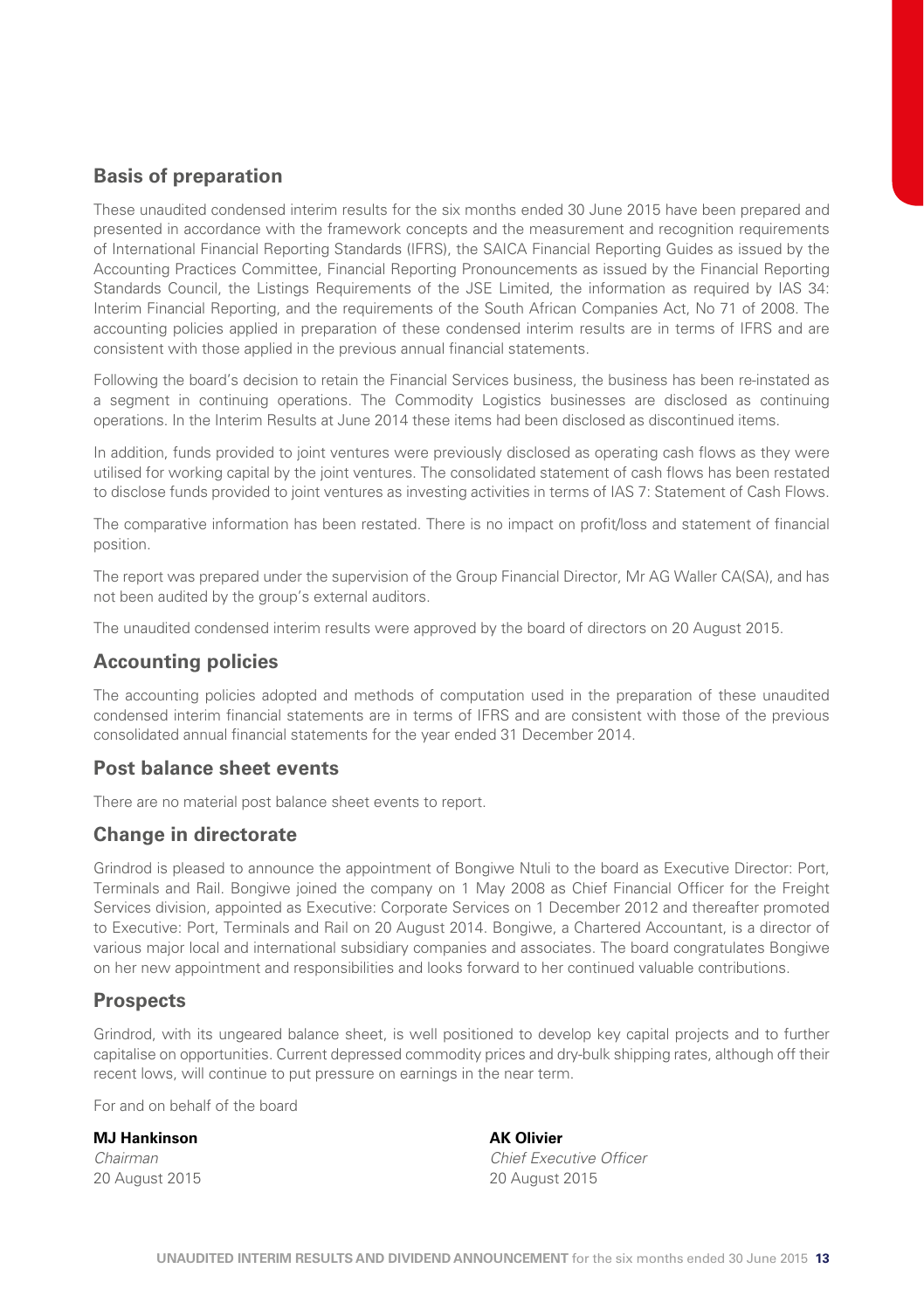#### **Basis of preparation**

These unaudited condensed interim results for the six months ended 30 June 2015 have been prepared and presented in accordance with the framework concepts and the measurement and recognition requirements of International Financial Reporting Standards (IFRS), the SAICA Financial Reporting Guides as issued by the Accounting Practices Committee, Financial Reporting Pronouncements as issued by the Financial Reporting Standards Council, the Listings Requirements of the JSE Limited, the information as required by IAS 34: Interim Financial Reporting, and the requirements of the South African Companies Act, No 71 of 2008. The accounting policies applied in preparation of these condensed interim results are in terms of IFRS and are consistent with those applied in the previous annual financial statements.

Following the board's decision to retain the Financial Services business, the business has been re-instated as a segment in continuing operations. The Commodity Logistics businesses are disclosed as continuing operations. In the Interim Results at June 2014 these items had been disclosed as discontinued items.

In addition, funds provided to joint ventures were previously disclosed as operating cash flows as they were utilised for working capital by the joint ventures. The consolidated statement of cash flows has been restated to disclose funds provided to joint ventures as investing activities in terms of IAS 7: Statement of Cash Flows.

The comparative information has been restated. There is no impact on profit/loss and statement of financial position.

The report was prepared under the supervision of the Group Financial Director, Mr AG Waller CA(SA), and has not been audited by the group's external auditors.

The unaudited condensed interim results were approved by the board of directors on 20 August 2015.

#### **Accounting policies**

The accounting policies adopted and methods of computation used in the preparation of these unaudited condensed interim financial statements are in terms of IFRS and are consistent with those of the previous consolidated annual financial statements for the year ended 31 December 2014.

#### **Post balance sheet events**

There are no material post balance sheet events to report.

#### **Change in directorate**

Grindrod is pleased to announce the appointment of Bongiwe Ntuli to the board as Executive Director: Port, Terminals and Rail. Bongiwe joined the company on 1 May 2008 as Chief Financial Officer for the Freight Services division, appointed as Executive: Corporate Services on 1 December 2012 and thereafter promoted to Executive: Port, Terminals and Rail on 20 August 2014. Bongiwe, a Chartered Accountant, is a director of various major local and international subsidiary companies and associates. The board congratulates Bongiwe on her new appointment and responsibilities and looks forward to her continued valuable contributions.

#### **Prospects**

Grindrod, with its ungeared balance sheet, is well positioned to develop key capital projects and to further capitalise on opportunities. Current depressed commodity prices and dry-bulk shipping rates, although off their recent lows, will continue to put pressure on earnings in the near term.

For and on behalf of the board

#### **MJ Hankinson** AK Olivier

*Chairman Chief Executive Officer* 20 August 2015 20 August 2015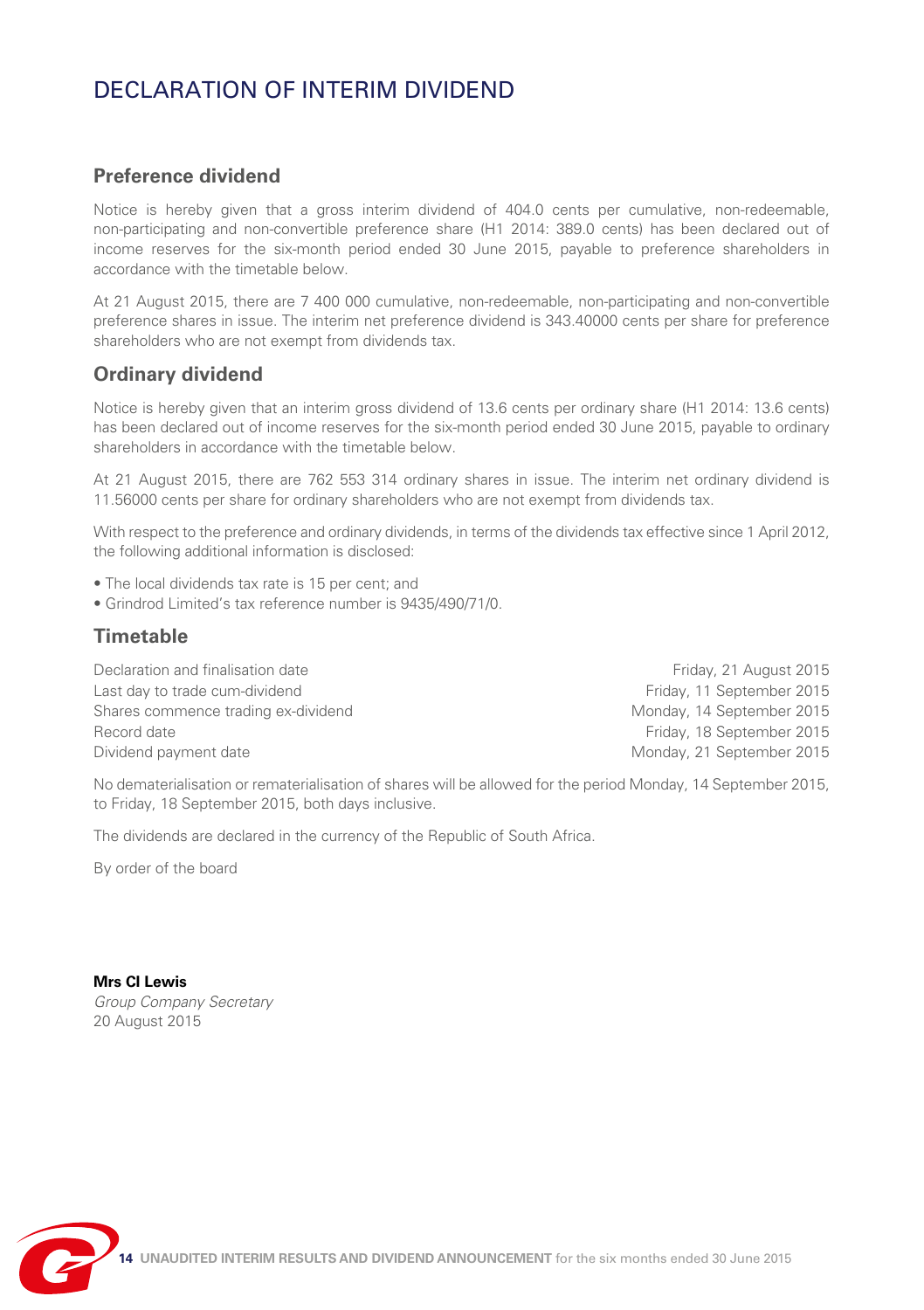# DECLARATION OF INTERIM DIVIDEND

#### **Preference dividend**

Notice is hereby given that a gross interim dividend of 404.0 cents per cumulative, non-redeemable, non-participating and non-convertible preference share (H1 2014: 389.0 cents) has been declared out of income reserves for the six-month period ended 30 June 2015, payable to preference shareholders in accordance with the timetable below.

At 21 August 2015, there are 7 400 000 cumulative, non-redeemable, non-participating and non-convertible preference shares in issue. The interim net preference dividend is 343.40000 cents per share for preference shareholders who are not exempt from dividends tax.

#### **Ordinary dividend**

Notice is hereby given that an interim gross dividend of 13.6 cents per ordinary share (H1 2014: 13.6 cents) has been declared out of income reserves for the six-month period ended 30 June 2015, payable to ordinary shareholders in accordance with the timetable below.

At 21 August 2015, there are 762 553 314 ordinary shares in issue. The interim net ordinary dividend is 11.56000 cents per share for ordinary shareholders who are not exempt from dividends tax.

With respect to the preference and ordinary dividends, in terms of the dividends tax effective since 1 April 2012, the following additional information is disclosed:

- The local dividends tax rate is 15 per cent; and
- Grindrod Limited's tax reference number is 9435/490/71/0.

#### **Timetable**

Declaration and finalisation date **Friday**, 21 August 2015 Last day to trade cum-dividend Friday, 11 September 2015 Shares commence trading ex-dividend Monday, 14 September 2015 Record date Friday, 18 September 2015 Dividend payment date Monday, 21 September 2015

No dematerialisation or rematerialisation of shares will be allowed for the period Monday, 14 September 2015, to Friday, 18 September 2015, both days inclusive.

The dividends are declared in the currency of the Republic of South Africa.

By order of the board

**Mrs CI Lewis** *Group Company Secretary* 20 August 2015

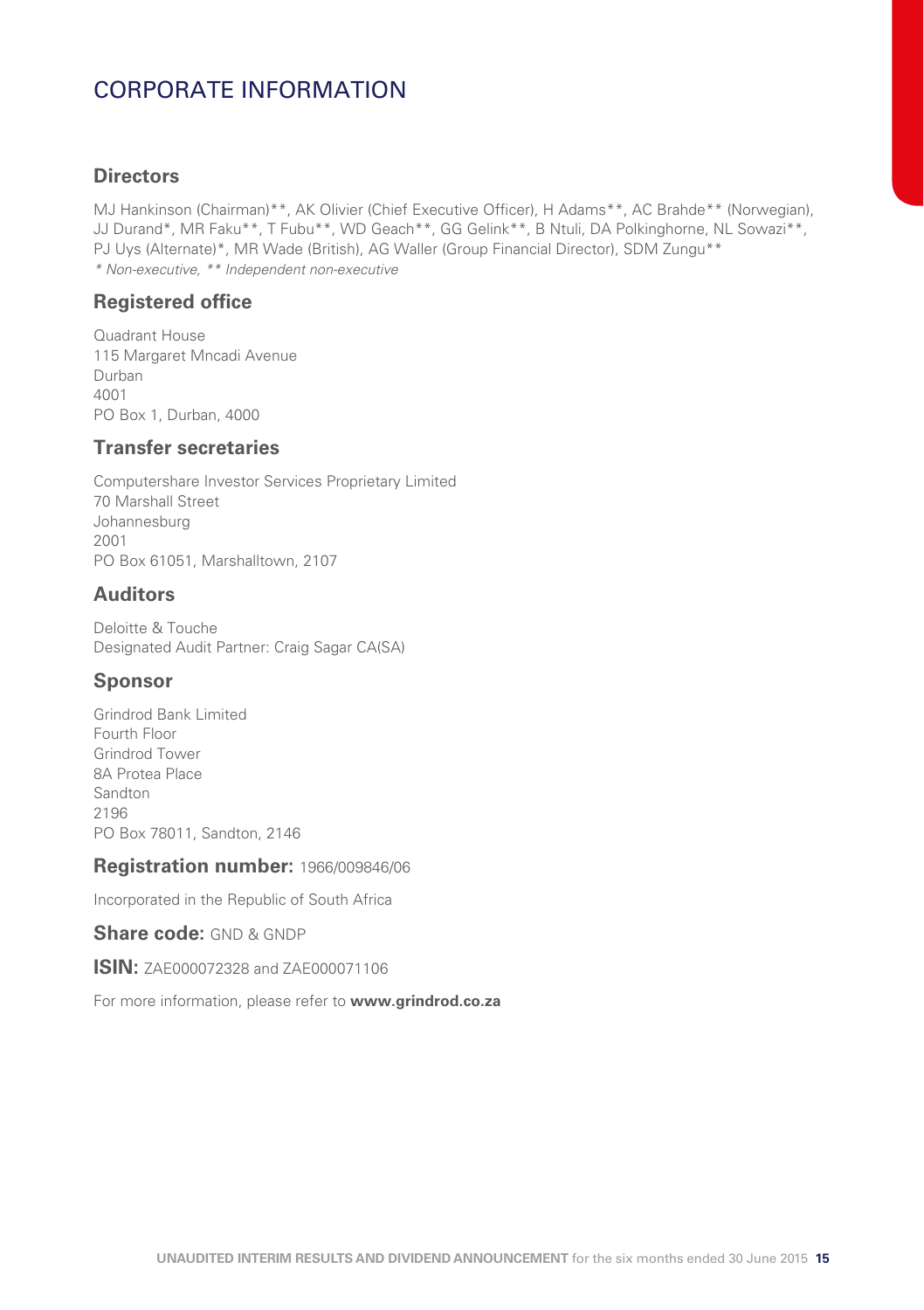# CORPORATE INFORMATION

#### **Directors**

MJ Hankinson (Chairman)\*\*, AK Olivier (Chief Executive Officer), H Adams\*\*, AC Brahde\*\* (Norwegian), JJ Durand\*, MR Faku\*\*, T Fubu\*\*, WD Geach\*\*, GG Gelink\*\*, B Ntuli, DA Polkinghorne, NL Sowazi\*\*, PJ Uys (Alternate)\*, MR Wade (British), AG Waller (Group Financial Director), SDM Zungu\*\* *\* Non-executive, \*\* Independent non-executive*

#### **Registered office**

Quadrant House 115 Margaret Mncadi Avenue Durban 4001 PO Box 1, Durban, 4000

#### **Transfer secretaries**

Computershare Investor Services Proprietary Limited 70 Marshall Street Johannesburg 2001 PO Box 61051, Marshalltown, 2107

#### **Auditors**

Deloitte & Touche Designated Audit Partner: Craig Sagar CA(SA)

#### **Sponsor**

Grindrod Bank Limited Fourth Floor Grindrod Tower 8A Protea Place Sandton 2196 PO Box 78011, Sandton, 2146

#### **Registration number:** 1966/009846/06

Incorporated in the Republic of South Africa

**Share code: GND & GNDP** 

**ISIN: ZAE000072328 and ZAE000071106** 

For more information, please refer to **www.grindrod.co.za**